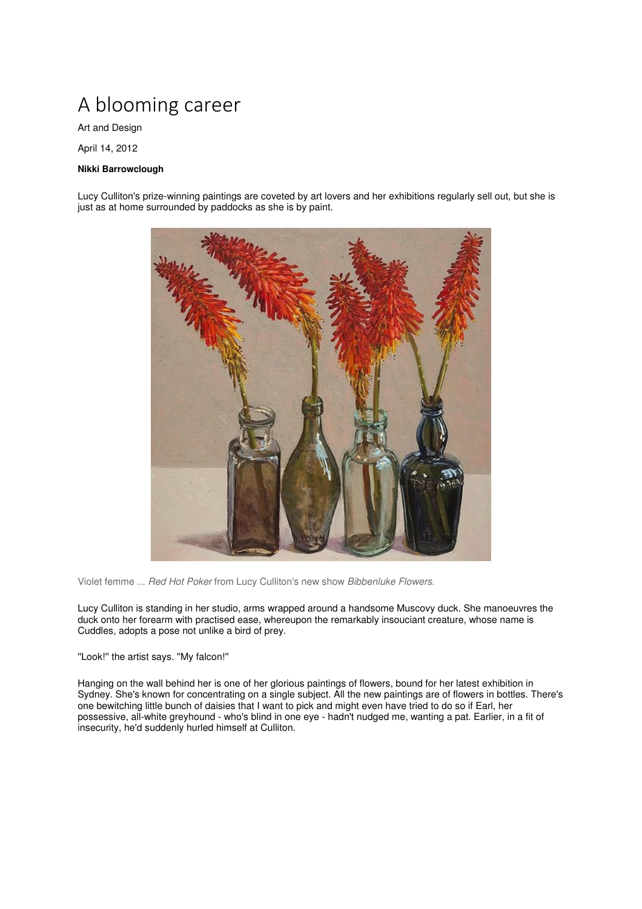## A blooming career

Art and Design

April 14, 2012

## **Nikki Barrowclough**

Lucy Culliton's prize-winning paintings are coveted by art lovers and her exhibitions regularly sell out, but she is just as at home surrounded by paddocks as she is by paint.



Violet femme ... Red Hot Poker from Lucy Culliton's new show Bibbenluke Flowers.

Lucy Culliton is standing in her studio, arms wrapped around a handsome Muscovy duck. She manoeuvres the duck onto her forearm with practised ease, whereupon the remarkably insouciant creature, whose name is Cuddles, adopts a pose not unlike a bird of prey.

''Look!'' the artist says. ''My falcon!''

Hanging on the wall behind her is one of her glorious paintings of flowers, bound for her latest exhibition in Sydney. She's known for concentrating on a single subject. All the new paintings are of flowers in bottles. There's one bewitching little bunch of daisies that I want to pick and might even have tried to do so if Earl, her possessive, all-white greyhound - who's blind in one eye - hadn't nudged me, wanting a pat. Earlier, in a fit of insecurity, he'd suddenly hurled himself at Culliton.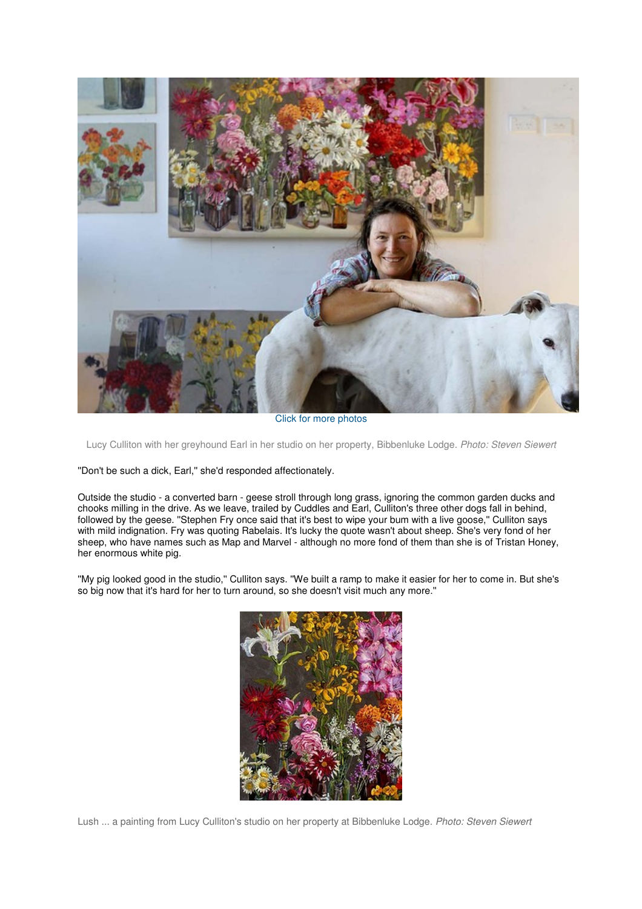

Click for more photos

Lucy Culliton with her greyhound Earl in her studio on her property, Bibbenluke Lodge. Photo: Steven Siewert

''Don't be such a dick, Earl,'' she'd responded affectionately.

Outside the studio - a converted barn - geese stroll through long grass, ignoring the common garden ducks and chooks milling in the drive. As we leave, trailed by Cuddles and Earl, Culliton's three other dogs fall in behind, followed by the geese. ''Stephen Fry once said that it's best to wipe your bum with a live goose,'' Culliton says with mild indignation. Fry was quoting Rabelais. It's lucky the quote wasn't about sheep. She's very fond of her sheep, who have names such as Map and Marvel - although no more fond of them than she is of Tristan Honey, her enormous white pig.

''My pig looked good in the studio,'' Culliton says. ''We built a ramp to make it easier for her to come in. But she's so big now that it's hard for her to turn around, so she doesn't visit much any more.''



Lush ... a painting from Lucy Culliton's studio on her property at Bibbenluke Lodge. Photo: Steven Siewert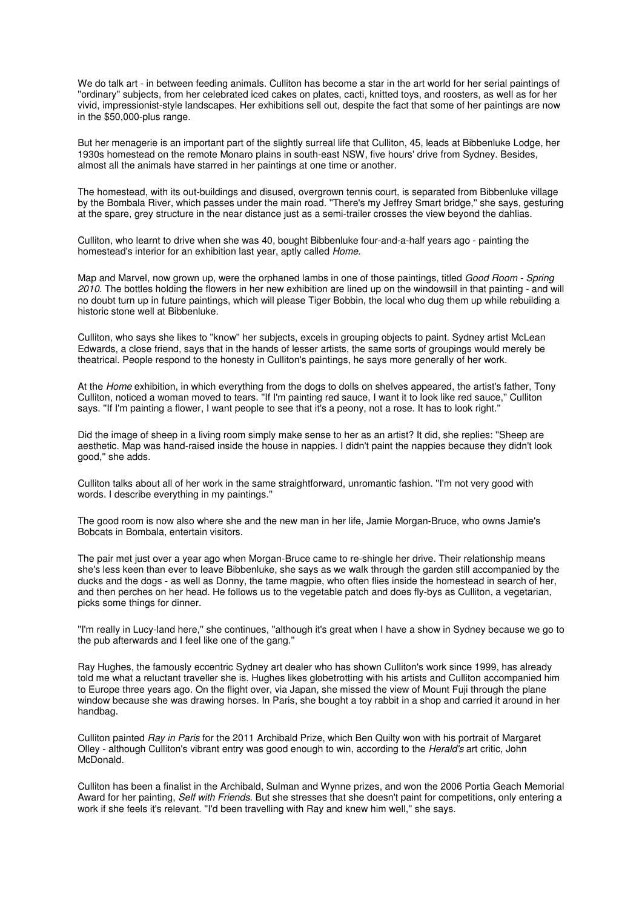We do talk art - in between feeding animals. Culliton has become a star in the art world for her serial paintings of ''ordinary'' subjects, from her celebrated iced cakes on plates, cacti, knitted toys, and roosters, as well as for her vivid, impressionist-style landscapes. Her exhibitions sell out, despite the fact that some of her paintings are now in the \$50,000-plus range.

But her menagerie is an important part of the slightly surreal life that Culliton, 45, leads at Bibbenluke Lodge, her 1930s homestead on the remote Monaro plains in south-east NSW, five hours' drive from Sydney. Besides, almost all the animals have starred in her paintings at one time or another.

The homestead, with its out-buildings and disused, overgrown tennis court, is separated from Bibbenluke village by the Bombala River, which passes under the main road. ''There's my Jeffrey Smart bridge,'' she says, gesturing at the spare, grey structure in the near distance just as a semi-trailer crosses the view beyond the dahlias.

Culliton, who learnt to drive when she was 40, bought Bibbenluke four-and-a-half years ago - painting the homestead's interior for an exhibition last year, aptly called Home.

Map and Marvel, now grown up, were the orphaned lambs in one of those paintings, titled Good Room - Spring 2010. The bottles holding the flowers in her new exhibition are lined up on the windowsill in that painting - and will no doubt turn up in future paintings, which will please Tiger Bobbin, the local who dug them up while rebuilding a historic stone well at Bibbenluke.

Culliton, who says she likes to ''know'' her subjects, excels in grouping objects to paint. Sydney artist McLean Edwards, a close friend, says that in the hands of lesser artists, the same sorts of groupings would merely be theatrical. People respond to the honesty in Culliton's paintings, he says more generally of her work.

At the Home exhibition, in which everything from the dogs to dolls on shelves appeared, the artist's father. Tony Culliton, noticed a woman moved to tears. ''If I'm painting red sauce, I want it to look like red sauce,'' Culliton says. ''If I'm painting a flower, I want people to see that it's a peony, not a rose. It has to look right.''

Did the image of sheep in a living room simply make sense to her as an artist? It did, she replies: ''Sheep are aesthetic. Map was hand-raised inside the house in nappies. I didn't paint the nappies because they didn't look good,'' she adds.

Culliton talks about all of her work in the same straightforward, unromantic fashion. ''I'm not very good with words. I describe everything in my paintings.''

The good room is now also where she and the new man in her life, Jamie Morgan-Bruce, who owns Jamie's Bobcats in Bombala, entertain visitors.

The pair met just over a year ago when Morgan-Bruce came to re-shingle her drive. Their relationship means she's less keen than ever to leave Bibbenluke, she says as we walk through the garden still accompanied by the ducks and the dogs - as well as Donny, the tame magpie, who often flies inside the homestead in search of her, and then perches on her head. He follows us to the vegetable patch and does fly-bys as Culliton, a vegetarian, picks some things for dinner.

''I'm really in Lucy-land here,'' she continues, ''although it's great when I have a show in Sydney because we go to the pub afterwards and I feel like one of the gang.''

Ray Hughes, the famously eccentric Sydney art dealer who has shown Culliton's work since 1999, has already told me what a reluctant traveller she is. Hughes likes globetrotting with his artists and Culliton accompanied him to Europe three years ago. On the flight over, via Japan, she missed the view of Mount Fuji through the plane window because she was drawing horses. In Paris, she bought a toy rabbit in a shop and carried it around in her handbag.

Culliton painted Ray in Paris for the 2011 Archibald Prize, which Ben Quilty won with his portrait of Margaret Olley - although Culliton's vibrant entry was good enough to win, according to the Herald's art critic, John McDonald.

Culliton has been a finalist in the Archibald, Sulman and Wynne prizes, and won the 2006 Portia Geach Memorial Award for her painting, Self with Friends. But she stresses that she doesn't paint for competitions, only entering a work if she feels it's relevant. ''I'd been travelling with Ray and knew him well,'' she says.